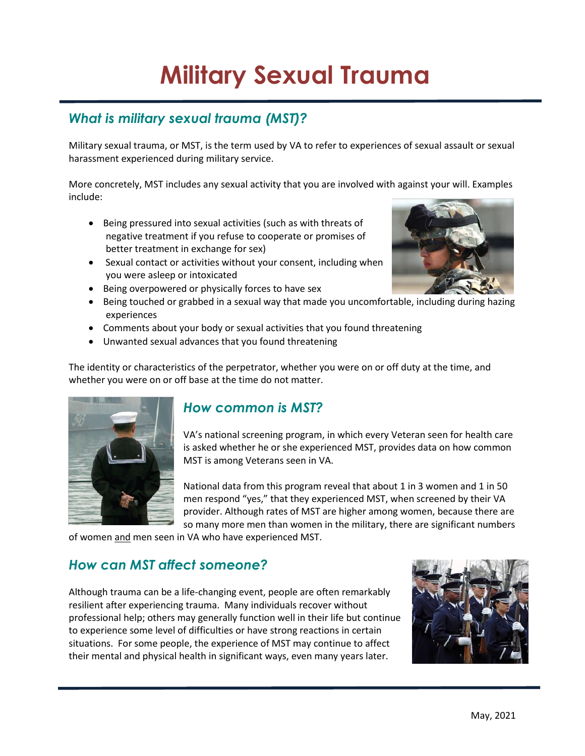# **Military Sexual Trauma**

## *What is military sexual trauma (MST)?*

Military sexual trauma, or MST, is the term used by VA to refer to experiences of sexual assault or sexual harassment experienced during military service.

More concretely, MST includes any sexual activity that you are involved with against your will. Examples include:

- Being pressured into sexual activities (such as with threats of negative treatment if you refuse to cooperate or promises of better treatment in exchange for sex)
- Sexual contact or activities without your consent, including when you were asleep or intoxicated
- Being overpowered or physically forces to have sex
- Being touched or grabbed in a sexual way that made you uncomfortable, including during hazing experiences
- Comments about your body or sexual activities that you found threatening
- Unwanted sexual advances that you found threatening

The identity or characteristics of the perpetrator, whether you were on or off duty at the time, and whether you were on or off base at the time do not matter.



### *How common is MST?*

VA's national screening program, in which every Veteran seen for health care is asked whether he or she experienced MST, provides data on how common MST is among Veterans seen in VA.

National data from this program reveal that about 1 in 3 women and 1 in 50 men respond "yes," that they experienced MST, when screened by their VA provider. Although rates of MST are higher among women, because there are so many more men than women in the military, there are significant numbers

of women and men seen in VA who have experienced MST.

#### *How can MST affect someone?*

Although trauma can be a life-changing event, people are often remarkably resilient after experiencing trauma. Many individuals recover without professional help; others may generally function well in their life but continue to experience some level of difficulties or have strong reactions in certain situations. For some people, the experience of MST may continue to affect their mental and physical health in significant ways, even many years later.



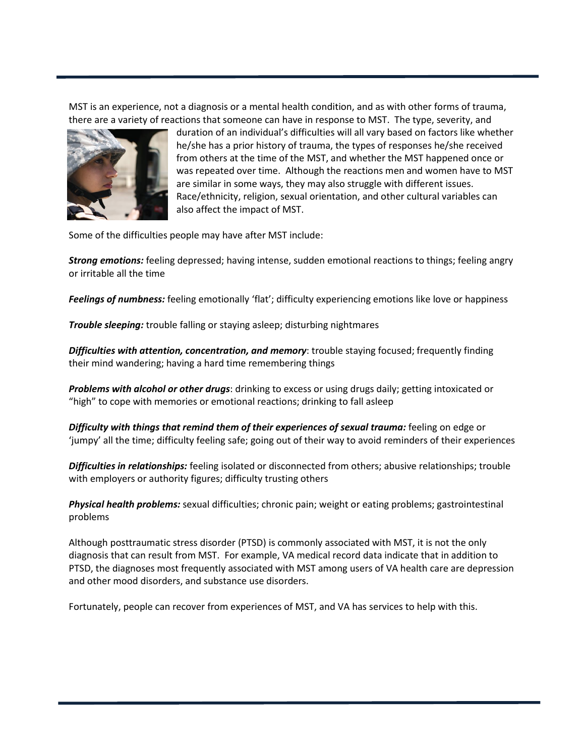MST is an experience, not a diagnosis or a mental health condition, and as with other forms of trauma, there are a variety of reactions that someone can have in response to MST. The type, severity, and



duration of an individual's difficulties will all vary based on factors like whether he/she has a prior history of trauma, the types of responses he/she received from others at the time of the MST, and whether the MST happened once or was repeated over time. Although the reactions men and women have to MST are similar in some ways, they may also struggle with different issues. Race/ethnicity, religion, sexual orientation, and other cultural variables can also affect the impact of MST.

Some of the difficulties people may have after MST include:

*Strong emotions:* feeling depressed; having intense, sudden emotional reactions to things; feeling angry or irritable all the time

*Feelings of numbness:* feeling emotionally 'flat'; difficulty experiencing emotions like love or happiness

*Trouble sleeping:* trouble falling or staying asleep; disturbing nightmares

*Difficulties with attention, concentration, and memory*: trouble staying focused; frequently finding their mind wandering; having a hard time remembering things

*Problems with alcohol or other drugs*: drinking to excess or using drugs daily; getting intoxicated or "high" to cope with memories or emotional reactions; drinking to fall asleep

*Difficulty with things that remind them of their experiences of sexual trauma: feeling on edge or* 'jumpy' all the time; difficulty feeling safe; going out of their way to avoid reminders of their experiences

*Difficulties in relationships:* feeling isolated or disconnected from others; abusive relationships; trouble with employers or authority figures; difficulty trusting others

*Physical health problems:* sexual difficulties; chronic pain; weight or eating problems; gastrointestinal problems

Although posttraumatic stress disorder (PTSD) is commonly associated with MST, it is not the only diagnosis that can result from MST. For example, VA medical record data indicate that in addition to PTSD, the diagnoses most frequently associated with MST among users of VA health care are depression and other mood disorders, and substance use disorders.

Fortunately, people can recover from experiences of MST, and VA has services to help with this.